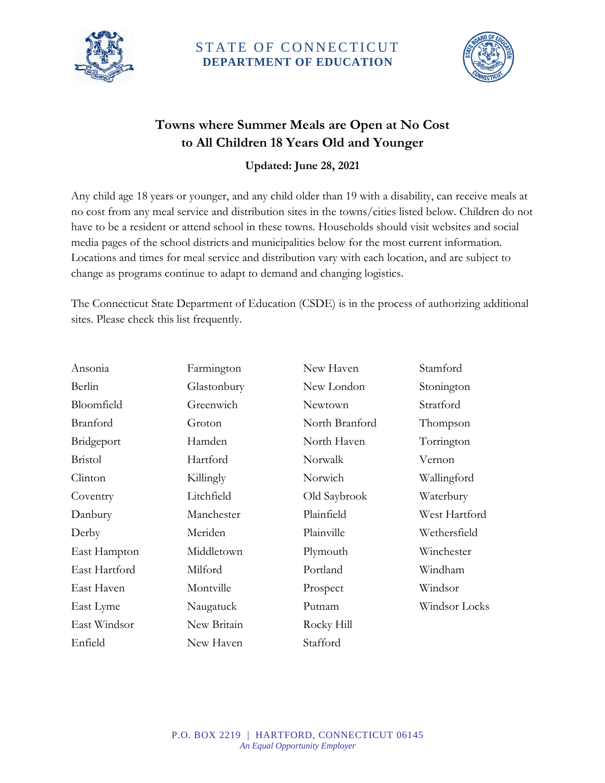

## STATE OF CONNECTICUT **DEPARTMENT OF EDUCATION**



## **Towns where Summer Meals are Open at No Cost to All Children 18 Years Old and Younger**

**Updated: June 28, 2021**

Any child age 18 years or younger, and any child older than 19 with a disability, can receive meals at no cost from any meal service and distribution sites in the towns/cities listed below. Children do not have to be a resident or attend school in these towns. Households should visit websites and social media pages of the school districts and municipalities below for the most current information. Locations and times for meal service and distribution vary with each location, and are subject to change as programs continue to adapt to demand and changing logistics.

The Connecticut State Department of Education (CSDE) is in the process of authorizing additional sites. Please check this list frequently.

| Ansonia        | Farmington  | New Haven      | Stamford      |
|----------------|-------------|----------------|---------------|
| Berlin         | Glastonbury | New London     | Stonington    |
| Bloomfield     | Greenwich   | Newtown        | Stratford     |
| Branford       | Groton      | North Branford | Thompson      |
| Bridgeport     | Hamden      | North Haven    | Torrington    |
| <b>Bristol</b> | Hartford    | Norwalk        | Vernon        |
| Clinton        | Killingly   | Norwich        | Wallingford   |
| Coventry       | Litchfield  | Old Saybrook   | Waterbury     |
| Danbury        | Manchester  | Plainfield     | West Hartford |
| Derby          | Meriden     | Plainville     | Wethersfield  |
| East Hampton   | Middletown  | Plymouth       | Winchester    |
| East Hartford  | Milford     | Portland       | Windham       |
| East Haven     | Montville   | Prospect       | Windsor       |
| East Lyme      | Naugatuck   | Putnam         | Windsor Locks |
| East Windsor   | New Britain | Rocky Hill     |               |
| Enfield        | New Haven   | Stafford       |               |